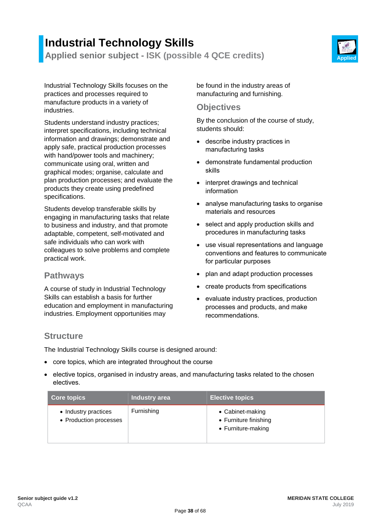# **Industrial Technology Skills Applied senior subject - ISK (possible 4 QCE credits) Applied**



Industrial Technology Skills focuses on the practices and processes required to manufacture products in a variety of industries.

Students understand industry practices; interpret specifications, including technical information and drawings; demonstrate and apply safe, practical production processes with hand/power tools and machinery; communicate using oral, written and graphical modes; organise, calculate and plan production processes; and evaluate the products they create using predefined specifications.

Students develop transferable skills by engaging in manufacturing tasks that relate to business and industry, and that promote adaptable, competent, self-motivated and safe individuals who can work with colleagues to solve problems and complete practical work.

### **Pathways**

A course of study in Industrial Technology Skills can establish a basis for further education and employment in manufacturing industries. Employment opportunities may

be found in the industry areas of manufacturing and furnishing.

#### **Objectives**

By the conclusion of the course of study, students should:

- describe industry practices in manufacturing tasks
- demonstrate fundamental production skills
- interpret drawings and technical information
- analyse manufacturing tasks to organise materials and resources
- select and apply production skills and procedures in manufacturing tasks
- use visual representations and language conventions and features to communicate for particular purposes
- plan and adapt production processes
- create products from specifications
- evaluate industry practices, production processes and products, and make recommendations.

### **Structure**

The Industrial Technology Skills course is designed around:

- core topics, which are integrated throughout the course
- elective topics, organised in industry areas, and manufacturing tasks related to the chosen electives.

| <b>Core topics</b>                             | Industry area | <b>Elective topics</b>                                          |
|------------------------------------------------|---------------|-----------------------------------------------------------------|
| • Industry practices<br>• Production processes | Furnishing    | • Cabinet-making<br>• Furniture finishing<br>• Furniture-making |